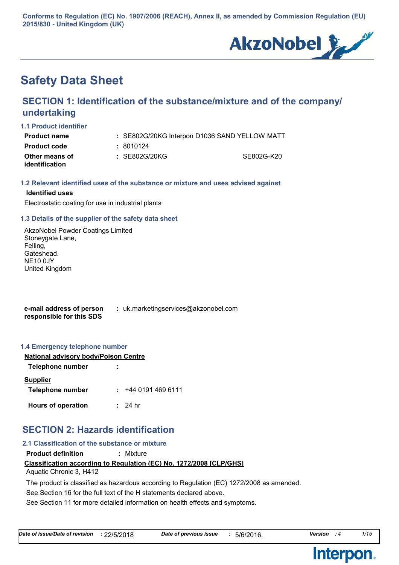**Conforms to Regulation (EC) No. 1907/2006 (REACH), Annex II, as amended by Commission Regulation (EU) 2015/830 - United Kingdom (UK)**



# **Safety Data Sheet**

## **SECTION 1: Identification of the substance/mixture and of the company/ undertaking**

#### **1.1 Product identifier**

| Product name                     | : SE802G/20KG Interpon D1036 SAND YELLOW MATT |            |
|----------------------------------|-----------------------------------------------|------------|
| Product code                     | : 8010124                                     |            |
| Other means of<br>identification | : SE802G/20KG                                 | SE802G-K20 |

### **1.2 Relevant identified uses of the substance or mixture and uses advised against**

### **Identified uses**

Electrostatic coating for use in industrial plants

### **1.3 Details of the supplier of the safety data sheet**

AkzoNobel Powder Coatings Limited Stoneygate Lane, Felling, Gateshead. NE10 0JY United Kingdom

**e-mail address of person responsible for this SDS :** uk.marketingservices@akzonobel.com

#### **1.4 Emergency telephone number**

| <b>National advisory body/Poison Centre</b> |                  |  |
|---------------------------------------------|------------------|--|
| Telephone number                            |                  |  |
| <b>Supplier</b>                             |                  |  |
| <b>Telephone number</b>                     | : 44401914696111 |  |
| <b>Hours of operation</b>                   | : 24hr           |  |

### **SECTION 2: Hazards identification**

#### **2.1 Classification of the substance or mixture**

**Product definition :** Mixture

#### **Classification according to Regulation (EC) No. 1272/2008 [CLP/GHS]**

Aquatic Chronic 3, H412

The product is classified as hazardous according to Regulation (EC) 1272/2008 as amended.

See Section 16 for the full text of the H statements declared above.

See Section 11 for more detailed information on health effects and symptoms.

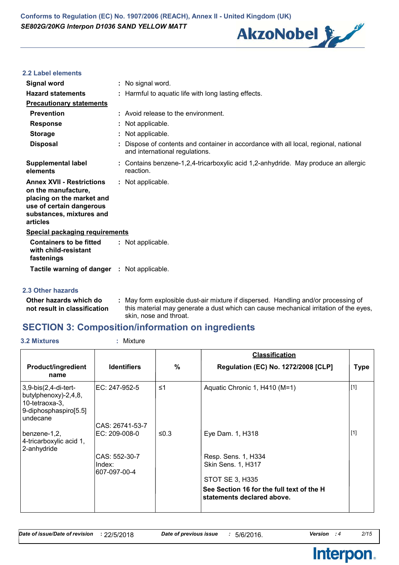

#### **2.2 Label elements**

| Signal word                                                                                                                                              | : No signal word.                                                                                                    |  |
|----------------------------------------------------------------------------------------------------------------------------------------------------------|----------------------------------------------------------------------------------------------------------------------|--|
| <b>Hazard statements</b>                                                                                                                                 | : Harmful to aquatic life with long lasting effects.                                                                 |  |
| <b>Precautionary statements</b>                                                                                                                          |                                                                                                                      |  |
| <b>Prevention</b>                                                                                                                                        | : Avoid release to the environment.                                                                                  |  |
| <b>Response</b>                                                                                                                                          | : Not applicable.                                                                                                    |  |
| <b>Storage</b>                                                                                                                                           | : Not applicable.                                                                                                    |  |
| <b>Disposal</b>                                                                                                                                          | Dispose of contents and container in accordance with all local, regional, national<br>and international regulations. |  |
| <b>Supplemental label</b><br>elements                                                                                                                    | : Contains benzene-1,2,4-tricarboxylic acid 1,2-anhydride. May produce an allergic<br>reaction.                      |  |
| <b>Annex XVII - Restrictions</b><br>on the manufacture,<br>placing on the market and<br>use of certain dangerous<br>substances, mixtures and<br>articles | : Not applicable.                                                                                                    |  |
| <b>Special packaging requirements</b>                                                                                                                    |                                                                                                                      |  |
| <b>Containers to be fitted</b><br>with child-resistant<br>fastenings                                                                                     | : Not applicable.                                                                                                    |  |
| <b>Tactile warning of danger : Not applicable.</b>                                                                                                       |                                                                                                                      |  |

### **2.3 Other hazards**

**Other hazards which do : not result in classification** May form explosible dust-air mixture if dispersed. Handling and/or processing of this material may generate a dust which can cause mechanical irritation of the eyes, skin, nose and throat.

### **SECTION 3: Composition/information on ingredients**

### **3.2 Mixtures :** Mixture

| <b>Regulation (EC) No. 1272/2008 [CLP]</b><br><b>Type</b><br>$[1]$<br>Aquatic Chronic 1, H410 (M=1) |
|-----------------------------------------------------------------------------------------------------|
|                                                                                                     |
|                                                                                                     |
|                                                                                                     |
| $[1]$                                                                                               |
|                                                                                                     |
|                                                                                                     |
|                                                                                                     |
| See Section 16 for the full text of the H<br>statements declared above.                             |
|                                                                                                     |

Interpon.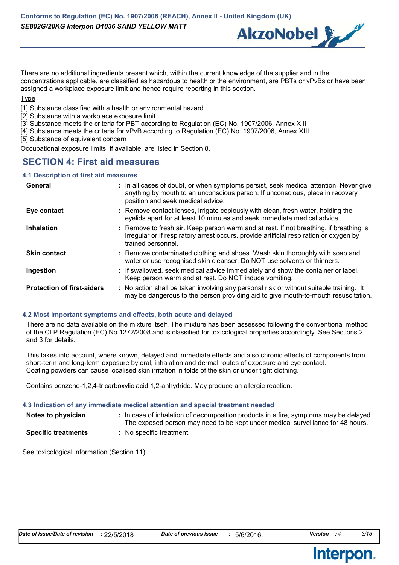

There are no additional ingredients present which, within the current knowledge of the supplier and in the concentrations applicable, are classified as hazardous to health or the environment, are PBTs or vPvBs or have been assigned a workplace exposure limit and hence require reporting in this section.

#### **Type**

[1] Substance classified with a health or environmental hazard

- [2] Substance with a workplace exposure limit
- [3] Substance meets the criteria for PBT according to Regulation (EC) No. 1907/2006, Annex XIII
- [4] Substance meets the criteria for vPvB according to Regulation (EC) No. 1907/2006, Annex XIII
- [5] Substance of equivalent concern

Occupational exposure limits, if available, are listed in Section 8.

### **SECTION 4: First aid measures**

### **4.1 Description of first aid measures**

| General                           | : In all cases of doubt, or when symptoms persist, seek medical attention. Never give<br>anything by mouth to an unconscious person. If unconscious, place in recovery<br>position and seek medical advice. |
|-----------------------------------|-------------------------------------------------------------------------------------------------------------------------------------------------------------------------------------------------------------|
| Eye contact                       | : Remove contact lenses, irrigate copiously with clean, fresh water, holding the<br>eyelids apart for at least 10 minutes and seek immediate medical advice.                                                |
| <b>Inhalation</b>                 | : Remove to fresh air. Keep person warm and at rest. If not breathing, if breathing is<br>irregular or if respiratory arrest occurs, provide artificial respiration or oxygen by<br>trained personnel.      |
| <b>Skin contact</b>               | : Remove contaminated clothing and shoes. Wash skin thoroughly with soap and<br>water or use recognised skin cleanser. Do NOT use solvents or thinners.                                                     |
| Ingestion                         | : If swallowed, seek medical advice immediately and show the container or label.<br>Keep person warm and at rest. Do NOT induce vomiting.                                                                   |
| <b>Protection of first-aiders</b> | : No action shall be taken involving any personal risk or without suitable training. It<br>may be dangerous to the person providing aid to give mouth-to-mouth resuscitation.                               |

### **4.2 Most important symptoms and effects, both acute and delayed**

There are no data available on the mixture itself. The mixture has been assessed following the conventional method of the CLP Regulation (EC) No 1272/2008 and is classified for toxicological properties accordingly. See Sections 2 and 3 for details.

This takes into account, where known, delayed and immediate effects and also chronic effects of components from short-term and long-term exposure by oral, inhalation and dermal routes of exposure and eye contact. Coating powders can cause localised skin irritation in folds of the skin or under tight clothing.

Contains benzene-1,2,4-tricarboxylic acid 1,2-anhydride. May produce an allergic reaction.

#### **4.3 Indication of any immediate medical attention and special treatment needed**

| Notes to physician         | : In case of inhalation of decomposition products in a fire, symptoms may be delayed.<br>The exposed person may need to be kept under medical surveillance for 48 hours. |
|----------------------------|--------------------------------------------------------------------------------------------------------------------------------------------------------------------------|
| <b>Specific treatments</b> | : No specific treatment.                                                                                                                                                 |

See toxicological information (Section 11)

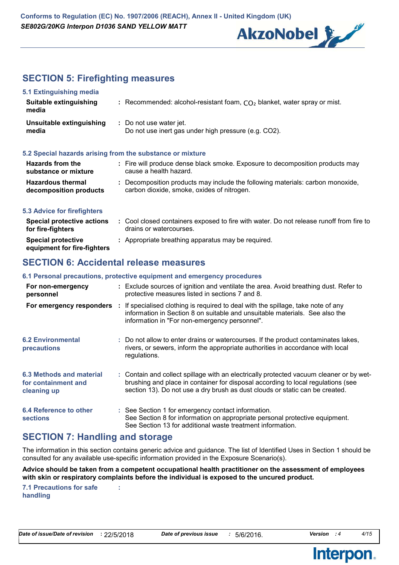

## **SECTION 5: Firefighting measures**

| : Recommended: alcohol-resistant foam, $CO2$ blanket, water spray or mist.                                                   |
|------------------------------------------------------------------------------------------------------------------------------|
| : Do not use water jet.<br>Do not use inert gas under high pressure (e.g. CO2).                                              |
| 5.2 Special hazards arising from the substance or mixture                                                                    |
| : Fire will produce dense black smoke. Exposure to decomposition products may<br>cause a health hazard.                      |
| : Decomposition products may include the following materials: carbon monoxide,<br>carbon dioxide, smoke, oxides of nitrogen. |
| : Cool closed containers exposed to fire with water. Do not release runoff from fire to                                      |
|                                                                                                                              |

#### **Special protective equipment for fire-fighters :** Appropriate breathing apparatus may be required. **for fire-fighters** drains or watercourses.

### **SECTION 6: Accidental release measures**

### **6.1 Personal precautions, protective equipment and emergency procedures**

| For non-emergency<br>personnel                                 | : Exclude sources of ignition and ventilate the area. Avoid breathing dust. Refer to<br>protective measures listed in sections 7 and 8.                                                                                                                     |
|----------------------------------------------------------------|-------------------------------------------------------------------------------------------------------------------------------------------------------------------------------------------------------------------------------------------------------------|
|                                                                | For emergency responders : If specialised clothing is required to deal with the spillage, take note of any<br>information in Section 8 on suitable and unsuitable materials. See also the<br>information in "For non-emergency personnel".                  |
| <b>6.2 Environmental</b><br><b>precautions</b>                 | : Do not allow to enter drains or watercourses. If the product contaminates lakes,<br>rivers, or sewers, inform the appropriate authorities in accordance with local<br>regulations.                                                                        |
| 6.3 Methods and material<br>for containment and<br>cleaning up | : Contain and collect spillage with an electrically protected vacuum cleaner or by wet-<br>brushing and place in container for disposal according to local regulations (see<br>section 13). Do not use a dry brush as dust clouds or static can be created. |
| 6.4 Reference to other<br><b>sections</b>                      | : See Section 1 for emergency contact information.<br>See Section 8 for information on appropriate personal protective equipment.<br>See Section 13 for additional waste treatment information.                                                             |

### **SECTION 7: Handling and storage**

The information in this section contains generic advice and guidance. The list of Identified Uses in Section 1 should be consulted for any available use-specific information provided in the Exposure Scenario(s).

**Advice should be taken from a competent occupational health practitioner on the assessment of employees with skin or respiratory complaints before the individual is exposed to the uncured product.**

**7.1 Precautions for safe handling**

**:**

**Interpon.** 

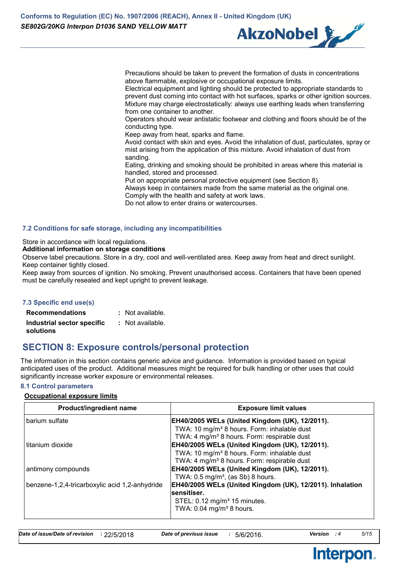

Precautions should be taken to prevent the formation of dusts in concentrations above flammable, explosive or occupational exposure limits.

Electrical equipment and lighting should be protected to appropriate standards to prevent dust coming into contact with hot surfaces, sparks or other ignition sources. Mixture may charge electrostatically: always use earthing leads when transferring from one container to another.

Operators should wear antistatic footwear and clothing and floors should be of the conducting type.

Keep away from heat, sparks and flame.

Avoid contact with skin and eyes. Avoid the inhalation of dust, particulates, spray or mist arising from the application of this mixture. Avoid inhalation of dust from sanding.

Eating, drinking and smoking should be prohibited in areas where this material is handled, stored and processed.

Put on appropriate personal protective equipment (see Section 8).

Always keep in containers made from the same material as the original one. Comply with the health and safety at work laws.

Do not allow to enter drains or watercourses.

### **7.2 Conditions for safe storage, including any incompatibilities**

Store in accordance with local regulations.

#### **Additional information on storage conditions**

Observe label precautions. Store in a dry, cool and well-ventilated area. Keep away from heat and direct sunlight. Keep container tightly closed.

Keep away from sources of ignition. No smoking. Prevent unauthorised access. Containers that have been opened must be carefully resealed and kept upright to prevent leakage.

### **7.3 Specific end use(s)**

| <b>Recommendations</b>     | : Not available. |
|----------------------------|------------------|
| Industrial sector specific | : Not available. |
| solutions                  |                  |

### **SECTION 8: Exposure controls/personal protection**

The information in this section contains generic advice and guidance. Information is provided based on typical anticipated uses of the product. Additional measures might be required for bulk handling or other uses that could significantly increase worker exposure or environmental releases.

### **8.1 Control parameters**

### **Occupational exposure limits**

| <b>Exposure limit values</b>                              |
|-----------------------------------------------------------|
| EH40/2005 WELs (United Kingdom (UK), 12/2011).            |
| TWA: 10 mg/m <sup>3</sup> 8 hours. Form: inhalable dust   |
| TWA: 4 mg/m <sup>3</sup> 8 hours. Form: respirable dust   |
| EH40/2005 WELs (United Kingdom (UK), 12/2011).            |
| TWA: 10 mg/m <sup>3</sup> 8 hours. Form: inhalable dust   |
| TWA: 4 mg/m <sup>3</sup> 8 hours. Form: respirable dust   |
| EH40/2005 WELs (United Kingdom (UK), 12/2011).            |
| TWA: $0.5 \text{ mg/m}^3$ , (as Sb) 8 hours.              |
| EH40/2005 WELs (United Kingdom (UK), 12/2011). Inhalation |
| sensitiser.                                               |
| STEL: 0.12 mg/m <sup>3</sup> 15 minutes.                  |
| TWA: $0.04$ mg/m <sup>3</sup> 8 hours.                    |
|                                                           |

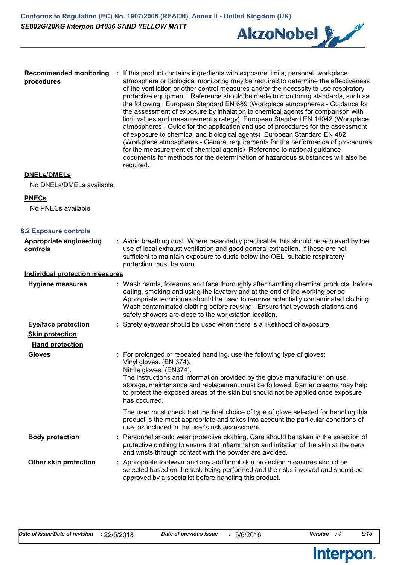

**Recommended monitoring : If this product contains ingredients with exposure limits, personal, workplace procedures** atmosphere or biological monitoring may be required to determine the effectiveness of the ventilation or other control measures and/or the necessity to use respiratory protective equipment. Reference should be made to monitoring standards, such as the following: European Standard EN 689 (Workplace atmospheres - Guidance for the assessment of exposure by inhalation to chemical agents for comparison with limit values and measurement strategy) European Standard EN 14042 (Workplace atmospheres - Guide for the application and use of procedures for the assessment of exposure to chemical and biological agents) European Standard EN 482 (Workplace atmospheres - General requirements for the performance of procedures for the measurement of chemical agents) Reference to national guidance documents for methods for the determination of hazardous substances will also be required.

### **DNELs/DMELs**

No DNELs/DMELs available.

#### **PNECs**

No PNECs available

| <b>8.2 Exposure controls</b>          |                                                                                                                                                                                                                                                                                                                                                                                                      |
|---------------------------------------|------------------------------------------------------------------------------------------------------------------------------------------------------------------------------------------------------------------------------------------------------------------------------------------------------------------------------------------------------------------------------------------------------|
| Appropriate engineering<br>controls   | : Avoid breathing dust. Where reasonably practicable, this should be achieved by the<br>use of local exhaust ventilation and good general extraction. If these are not<br>sufficient to maintain exposure to dusts below the OEL, suitable respiratory<br>protection must be worn.                                                                                                                   |
| <b>Individual protection measures</b> |                                                                                                                                                                                                                                                                                                                                                                                                      |
| <b>Hygiene measures</b>               | : Wash hands, forearms and face thoroughly after handling chemical products, before<br>eating, smoking and using the lavatory and at the end of the working period.<br>Appropriate techniques should be used to remove potentially contaminated clothing.<br>Wash contaminated clothing before reusing. Ensure that eyewash stations and<br>safety showers are close to the workstation location.    |
| <b>Eye/face protection</b>            | : Safety eyewear should be used when there is a likelihood of exposure.                                                                                                                                                                                                                                                                                                                              |
| <b>Skin protection</b>                |                                                                                                                                                                                                                                                                                                                                                                                                      |
| <b>Hand protection</b>                |                                                                                                                                                                                                                                                                                                                                                                                                      |
| <b>Gloves</b>                         | : For prolonged or repeated handling, use the following type of gloves:<br>Vinyl gloves. (EN 374).<br>Nitrile gloves. (EN374).<br>The instructions and information provided by the glove manufacturer on use,<br>storage, maintenance and replacement must be followed. Barrier creams may help<br>to protect the exposed areas of the skin but should not be applied once exposure<br>has occurred. |
|                                       | The user must check that the final choice of type of glove selected for handling this<br>product is the most appropriate and takes into account the particular conditions of<br>use, as included in the user's risk assessment.                                                                                                                                                                      |
| <b>Body protection</b>                | : Personnel should wear protective clothing. Care should be taken in the selection of<br>protective clothing to ensure that inflammation and irritation of the skin at the neck<br>and wrists through contact with the powder are avoided.                                                                                                                                                           |
| Other skin protection                 | : Appropriate footwear and any additional skin protection measures should be<br>selected based on the task being performed and the risks involved and should be<br>approved by a specialist before handling this product.                                                                                                                                                                            |
|                                       |                                                                                                                                                                                                                                                                                                                                                                                                      |

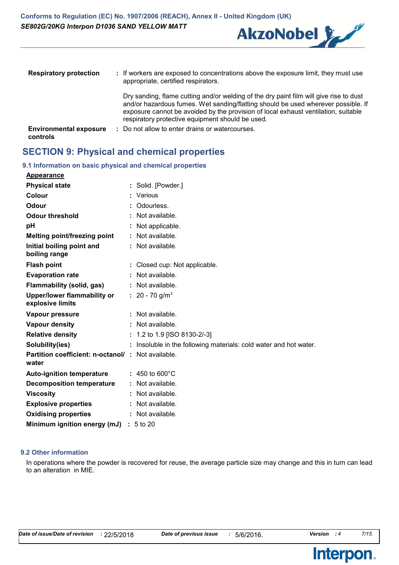

| <b>Respiratory protection</b>             | : If workers are exposed to concentrations above the exposure limit, they must use<br>appropriate, certified respirators.                                                                                                                                                                                             |
|-------------------------------------------|-----------------------------------------------------------------------------------------------------------------------------------------------------------------------------------------------------------------------------------------------------------------------------------------------------------------------|
|                                           | Dry sanding, flame cutting and/or welding of the dry paint film will give rise to dust<br>and/or hazardous fumes. Wet sanding/flatting should be used wherever possible. If<br>exposure cannot be avoided by the provision of local exhaust ventilation, suitable<br>respiratory protective equipment should be used. |
| <b>Environmental exposure</b><br>controls | : Do not allow to enter drains or watercourses.                                                                                                                                                                                                                                                                       |

### **SECTION 9: Physical and chemical properties**

### **9.1 Information on basic physical and chemical properties**

| <b>Appearance</b>                                          |                                                                   |
|------------------------------------------------------------|-------------------------------------------------------------------|
| <b>Physical state</b>                                      | : Solid. [Powder.]                                                |
| Colour                                                     | : Various                                                         |
| <b>Odour</b>                                               | Odourless.                                                        |
| <b>Odour threshold</b>                                     | : Not available.                                                  |
| рH                                                         | Not applicable.                                                   |
| Melting point/freezing point                               | : Not available.                                                  |
| Initial boiling point and<br>boiling range                 | : Not available.                                                  |
| <b>Flash point</b>                                         | : Closed cup: Not applicable.                                     |
| <b>Evaporation rate</b>                                    | : Not available.                                                  |
| Flammability (solid, gas)                                  | : Not available.                                                  |
| Upper/lower flammability or<br>explosive limits            | : $20 - 70$ g/m <sup>3</sup>                                      |
| Vapour pressure                                            | : Not available.                                                  |
| <b>Vapour density</b>                                      | : Not available.                                                  |
| <b>Relative density</b>                                    | $: 1.2$ to 1.9 [ISO 8130-2/-3]                                    |
| Solubility(ies)                                            | : Insoluble in the following materials: cold water and hot water. |
| Partition coefficient: n-octanol/: Not available.<br>water |                                                                   |
| <b>Auto-ignition temperature</b>                           | $: 450 \text{ to } 600^{\circ} \text{C}$                          |
| <b>Decomposition temperature</b>                           | : Not available.                                                  |
| <b>Viscosity</b>                                           | : Not available.                                                  |
| <b>Explosive properties</b>                                | : Not available.                                                  |
| <b>Oxidising properties</b>                                | : Not available.                                                  |
| Minimum ignition energy (mJ) : 5 to 20                     |                                                                   |

#### **9.2 Other information**

In operations where the powder is recovered for reuse, the average particle size may change and this in turn can lead to an alteration in MIE.

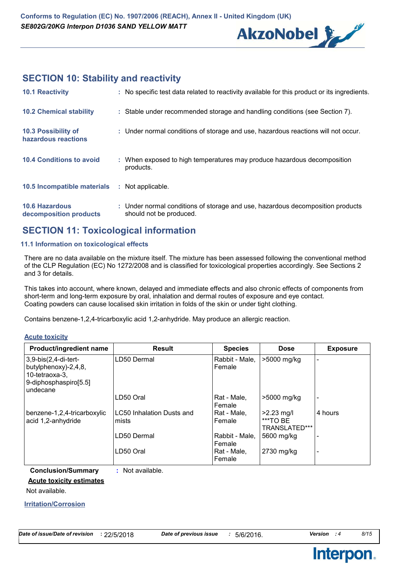

## **SECTION 10: Stability and reactivity**

| <b>10.1 Reactivity</b>                          | : No specific test data related to reactivity available for this product or its ingredients.              |
|-------------------------------------------------|-----------------------------------------------------------------------------------------------------------|
| <b>10.2 Chemical stability</b>                  | : Stable under recommended storage and handling conditions (see Section 7).                               |
| 10.3 Possibility of<br>hazardous reactions      | : Under normal conditions of storage and use, hazardous reactions will not occur.                         |
| <b>10.4 Conditions to avoid</b>                 | : When exposed to high temperatures may produce hazardous decomposition<br>products.                      |
| 10.5 Incompatible materials                     | : Not applicable.                                                                                         |
| <b>10.6 Hazardous</b><br>decomposition products | : Under normal conditions of storage and use, hazardous decomposition products<br>should not be produced. |

### **SECTION 11: Toxicological information**

### **11.1 Information on toxicological effects**

There are no data available on the mixture itself. The mixture has been assessed following the conventional method of the CLP Regulation (EC) No 1272/2008 and is classified for toxicological properties accordingly. See Sections 2 and 3 for details.

This takes into account, where known, delayed and immediate effects and also chronic effects of components from short-term and long-term exposure by oral, inhalation and dermal routes of exposure and eye contact. Coating powders can cause localised skin irritation in folds of the skin or under tight clothing.

Contains benzene-1,2,4-tricarboxylic acid 1,2-anhydride. May produce an allergic reaction.

**Acute toxicity**

| Product/ingredient name                                                                               | <b>Result</b>                             | <b>Species</b>           | <b>Dose</b>                               | <b>Exposure</b> |
|-------------------------------------------------------------------------------------------------------|-------------------------------------------|--------------------------|-------------------------------------------|-----------------|
| $3,9-bis(2,4-di-tert-$<br>butylphenoxy)-2,4,8,<br>10-tetraoxa-3,<br>9-diphosphaspiro[5.5]<br>undecane | LD50 Dermal                               | Rabbit - Male,<br>Female | >5000 mg/kg                               |                 |
|                                                                                                       | LD50 Oral                                 | Rat - Male,<br>Female    | >5000 mg/kg                               |                 |
| benzene-1,2,4-tricarboxylic<br>acid 1,2-anhydride                                                     | <b>LC50 Inhalation Dusts and</b><br>mists | Rat - Male.<br>Female    | $>2.23$ mg/l<br>***TO BE<br>TRANSLATED*** | 4 hours         |
|                                                                                                       | LD50 Dermal                               | Rabbit - Male,<br>Female | 5600 mg/kg                                |                 |
|                                                                                                       | LD50 Oral                                 | Rat - Male,<br>Female    | 2730 mg/kg                                |                 |

**Conclusion/Summary :** Not available.

**Acute toxicity estimates**

Not available.

**Irritation/Corrosion**

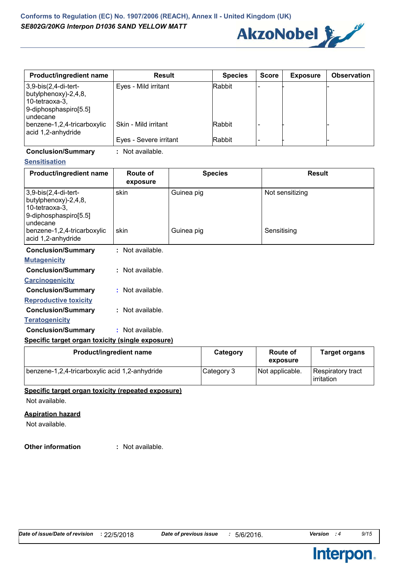

| <b>Product/ingredient name</b>                                                          | <b>Result</b>          | <b>Species</b> | <b>Score</b> | <b>Exposure</b> | <b>Observation</b> |
|-----------------------------------------------------------------------------------------|------------------------|----------------|--------------|-----------------|--------------------|
| 3,9-bis(2,4-di-tert-<br>butylphenoxy)-2,4,8,<br>10-tetraoxa-3,<br>9-diphosphaspiro[5.5] | Eyes - Mild irritant   | <b>Rabbit</b>  |              |                 |                    |
| lundecane<br>benzene-1,2,4-tricarboxylic<br>acid 1,2-anhydride                          | Skin - Mild irritant   | Rabbit         |              |                 |                    |
|                                                                                         | Eyes - Severe irritant | Rabbit         |              |                 |                    |

**Conclusion/Summary :** Not available.

### **Sensitisation**

| Product/ingredient name                                                                             | Route of<br>exposure | <b>Species</b> | <b>Result</b>   |
|-----------------------------------------------------------------------------------------------------|----------------------|----------------|-----------------|
| 3,9-bis(2,4-di-tert-<br>butylphenoxy)-2,4,8,<br>10-tetraoxa-3,<br>9-diphosphaspiro[5.5]<br>undecane | skin                 | Guinea pig     | Not sensitizing |
| benzene-1,2,4-tricarboxylic<br>acid 1,2-anhydride                                                   | skin                 | Guinea pig     | Sensitising     |
| <b>Conclusion/Summary</b>                                                                           | : Not available.     |                |                 |
| <b>Mutagenicity</b>                                                                                 |                      |                |                 |
| <b>Conclusion/Summary</b>                                                                           | : Not available.     |                |                 |
| <b>Carcinogenicity</b>                                                                              |                      |                |                 |
| <b>Conclusion/Summary</b>                                                                           | : Not available.     |                |                 |
| <b>Reproductive toxicity</b>                                                                        |                      |                |                 |
| <b>Conclusion/Summary</b>                                                                           | : Not available.     |                |                 |

#### **Teratogenicity**

| <b>Conclusion/Summary</b> | : Not available. |
|---------------------------|------------------|
|                           |                  |

### **Specific target organ toxicity (single exposure)**

| Product/ingredient name                        | Category   | <b>Route of</b><br>exposure | <b>Target organs</b>            |
|------------------------------------------------|------------|-----------------------------|---------------------------------|
| benzene-1,2,4-tricarboxylic acid 1,2-anhydride | Category 3 | Not applicable.             | Respiratory tract<br>irritation |

### **Specific target organ toxicity (repeated exposure)**

Not available.

### **Aspiration hazard**

Not available.

#### **Other information :** : Not available.

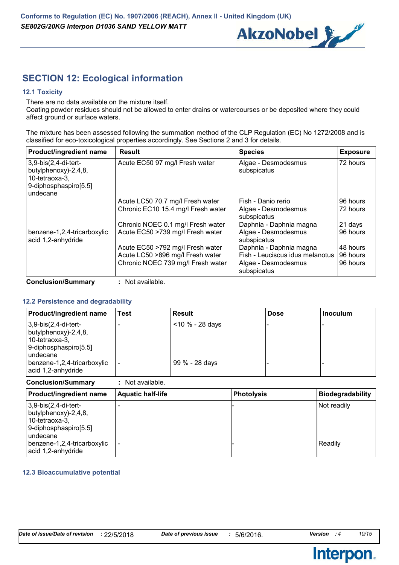

# **SECTION 12: Ecological information**

### **12.1 Toxicity**

There are no data available on the mixture itself.

Coating powder residues should not be allowed to enter drains or watercourses or be deposited where they could affect ground or surface waters.

The mixture has been assessed following the summation method of the CLP Regulation (EC) No 1272/2008 and is classified for eco-toxicological properties accordingly. See Sections 2 and 3 for details.

| <b>Product/ingredient name</b>                                 | <b>Result</b>                      | <b>Species</b>                     | <b>Exposure</b> |
|----------------------------------------------------------------|------------------------------------|------------------------------------|-----------------|
| 3,9-bis(2,4-di-tert-<br>butylphenoxy)-2,4,8,<br>10-tetraoxa-3, | Acute EC50 97 mg/l Fresh water     | Algae - Desmodesmus<br>subspicatus | 72 hours        |
| 9-diphosphaspiro[5.5]<br>undecane                              |                                    |                                    |                 |
|                                                                | Acute LC50 70.7 mg/l Fresh water   | Fish - Danio rerio                 | 96 hours        |
|                                                                | Chronic EC10 15.4 mg/l Fresh water | Algae - Desmodesmus<br>subspicatus | 72 hours        |
|                                                                | Chronic NOEC 0.1 mg/l Fresh water  | Daphnia - Daphnia magna            | 21 days         |
| benzene-1,2,4-tricarboxylic<br>acid 1,2-anhydride              | Acute EC50 >739 mg/l Fresh water   | Algae - Desmodesmus<br>subspicatus | 96 hours        |
|                                                                | Acute EC50 >792 mg/l Fresh water   | Daphnia - Daphnia magna            | 48 hours        |
|                                                                | Acute LC50 >896 mg/l Fresh water   | Fish - Leuciscus idus melanotus    | 96 hours        |
|                                                                | Chronic NOEC 739 mg/l Fresh water  | Algae - Desmodesmus<br>subspicatus | 96 hours        |

**Conclusion/Summary :** Not available.

### **12.2 Persistence and degradability**

| <b>Product/ingredient name</b>                                                            | Test | <b>Result</b>      | <b>Dose</b> | l Inoculum |
|-------------------------------------------------------------------------------------------|------|--------------------|-------------|------------|
| $3,9-bis(2,4-di-tert-$<br>butylphenoxy)-2,4,8,<br>10-tetraoxa-3,<br>9-diphosphaspiro[5.5] |      | $<$ 10 % - 28 days |             |            |
| I undecane<br>benzene-1,2,4-tricarboxylic<br>acid 1,2-anhydride                           |      | 99 % - 28 days     |             |            |

**Conclusion/Summary :** Not available.

| <b>Product/ingredient name</b>                                                                        | <b>Aquatic half-life</b> | <b>Photolysis</b> | <b>Biodegradability</b> |
|-------------------------------------------------------------------------------------------------------|--------------------------|-------------------|-------------------------|
| $3,9-bis(2,4-di-tert-$<br>butylphenoxy)-2,4,8,<br>10-tetraoxa-3,<br>9-diphosphaspiro[5.5]<br>undecane |                          |                   | Not readily             |
| benzene-1,2,4-tricarboxylic<br>acid 1,2-anhydride                                                     |                          |                   | Readily                 |

### **12.3 Bioaccumulative potential**

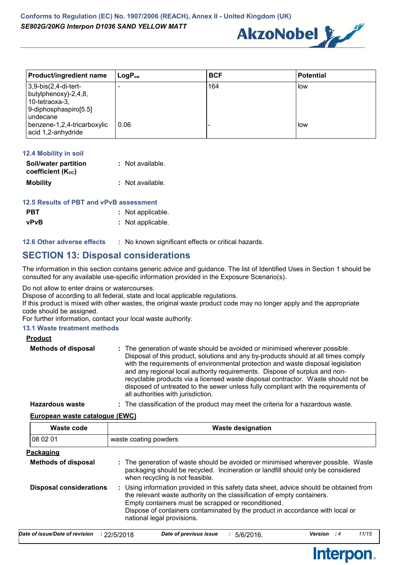

| <b>Product/ingredient name</b>                                                                           | $\mathsf{LogP}_\mathsf{ow}$ | <b>BCF</b> | <b>Potential</b> |
|----------------------------------------------------------------------------------------------------------|-----------------------------|------------|------------------|
| $3,9-bis(2,4-di-tert-$<br>butylphenoxy $)-2,4,8,$<br>10-tetraoxa-3,<br>9-diphosphaspiro[5.5]<br>undecane |                             | 164        | l low            |
| benzene-1,2,4-tricarboxylic<br>acid 1,2-anhydride                                                        | 0.06                        |            | l low            |

| 12.4 Mobility in soil                     |                  |
|-------------------------------------------|------------------|
| Soil/water partition<br>coefficient (Koc) | : Not available. |
| <b>Mobility</b>                           | : Not available. |

### **12.5 Results of PBT and vPvB assessment**

| <b>PBT</b> | : Not applicable. |
|------------|-------------------|
| vPvB       | : Not applicable. |

**12.6 Other adverse effects** : No known significant effects or critical hazards.

### **SECTION 13: Disposal considerations**

The information in this section contains generic advice and guidance. The list of Identified Uses in Section 1 should be consulted for any available use-specific information provided in the Exposure Scenario(s).

Do not allow to enter drains or watercourses.

Dispose of according to all federal, state and local applicable regulations.

If this product is mixed with other wastes, the original waste product code may no longer apply and the appropriate code should be assigned.

For further information, contact your local waste authority.

### **13.1 Waste treatment methods**

| <b>Product</b>             |                                                                                                                                                                                                                                                                                                                                                                                                                                                                                                                                                      |
|----------------------------|------------------------------------------------------------------------------------------------------------------------------------------------------------------------------------------------------------------------------------------------------------------------------------------------------------------------------------------------------------------------------------------------------------------------------------------------------------------------------------------------------------------------------------------------------|
| <b>Methods of disposal</b> | : The generation of waste should be avoided or minimised wherever possible.<br>Disposal of this product, solutions and any by-products should at all times comply<br>with the requirements of environmental protection and waste disposal legislation<br>and any regional local authority requirements. Dispose of surplus and non-<br>recyclable products via a licensed waste disposal contractor. Waste should not be<br>disposed of untreated to the sewer unless fully compliant with the requirements of<br>all authorities with jurisdiction. |
| <b>Hazardous waste</b>     | : The classification of the product may meet the criteria for a hazardous waste.                                                                                                                                                                                                                                                                                                                                                                                                                                                                     |

**European waste catalogue (EWC)**

| Waste code                     | <b>Waste designation</b>                                                                                                                                                                                                                                                                                                                |
|--------------------------------|-----------------------------------------------------------------------------------------------------------------------------------------------------------------------------------------------------------------------------------------------------------------------------------------------------------------------------------------|
| 08 02 01                       | waste coating powders                                                                                                                                                                                                                                                                                                                   |
| <u>Packaging</u>               |                                                                                                                                                                                                                                                                                                                                         |
| <b>Methods of disposal</b>     | : The generation of waste should be avoided or minimised wherever possible. Waste<br>packaging should be recycled. Incineration or landfill should only be considered<br>when recycling is not feasible.                                                                                                                                |
| <b>Disposal considerations</b> | : Using information provided in this safety data sheet, advice should be obtained from<br>the relevant waste authority on the classification of empty containers.<br>Empty containers must be scrapped or reconditioned.<br>Dispose of containers contaminated by the product in accordance with local or<br>national legal provisions. |

| Date of issue/Date of revision : 22/5/2018 | Date of previous issue | $\div$ 5/6/2016. | Version : 4 | 11/15 |
|--------------------------------------------|------------------------|------------------|-------------|-------|
|                                            |                        |                  |             |       |

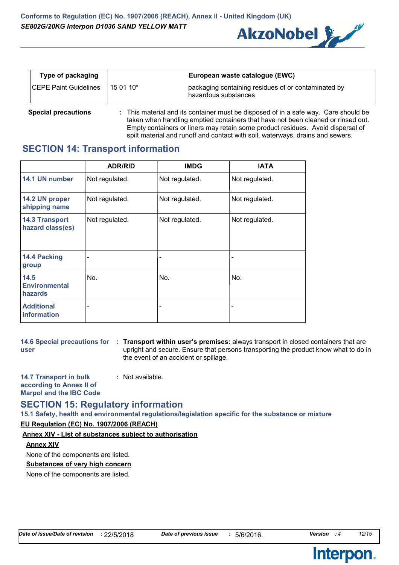

| Type of packaging            |             | European waste catalogue (EWC)                                              |
|------------------------------|-------------|-----------------------------------------------------------------------------|
| <b>CEPE Paint Guidelines</b> | l 15 01 10* | packaging containing residues of or contaminated by<br>hazardous substances |

**Special precautions :** This material and its container must be disposed of in a safe way. Care should be taken when handling emptied containers that have not been cleaned or rinsed out. Empty containers or liners may retain some product residues. Avoid dispersal of spilt material and runoff and contact with soil, waterways, drains and sewers.

### **SECTION 14: Transport information**

|                                                | <b>ADR/RID</b>           | <b>IMDG</b>              | <b>IATA</b>    |
|------------------------------------------------|--------------------------|--------------------------|----------------|
| 14.1 UN number                                 | Not regulated.           | Not regulated.           | Not regulated. |
| 14.2 UN proper<br>shipping name                | Not regulated.           | Not regulated.           | Not regulated. |
| <b>14.3 Transport</b><br>hazard class(es)      | Not regulated.           | Not regulated.           | Not regulated. |
| 14.4 Packing<br>group                          | $\qquad \qquad$          | $\overline{\phantom{0}}$ |                |
| 14.5<br><b>Environmental</b><br><b>hazards</b> | No.                      | No.                      | No.            |
| <b>Additional</b><br>information               | $\overline{\phantom{a}}$ | $\overline{\phantom{0}}$ |                |

**user**

**14.6 Special precautions for Transport within user's premises:** always transport in closed containers that are **:** upright and secure. Ensure that persons transporting the product know what to do in the event of an accident or spillage.

**14.7 Transport in bulk according to Annex II of Marpol and the IBC Code :** Not available.

### **SECTION 15: Regulatory information**

**15.1 Safety, health and environmental regulations/legislation specific for the substance or mixture**

### **EU Regulation (EC) No. 1907/2006 (REACH)**

### **Annex XIV - List of substances subject to authorisation**

### **Annex XIV**

None of the components are listed.

### **Substances of very high concern**

None of the components are listed.

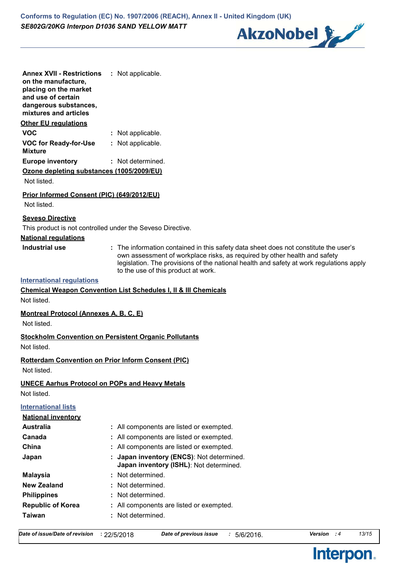

| <b>Annex XVII - Restrictions</b><br>on the manufacture,<br>placing on the market<br>and use of certain<br>dangerous substances,<br>mixtures and articles | : Not applicable.                                                                                                                                                                                           |
|----------------------------------------------------------------------------------------------------------------------------------------------------------|-------------------------------------------------------------------------------------------------------------------------------------------------------------------------------------------------------------|
| <b>Other EU regulations</b>                                                                                                                              |                                                                                                                                                                                                             |
| <b>VOC</b>                                                                                                                                               | : Not applicable.                                                                                                                                                                                           |
| <b>VOC for Ready-for-Use</b><br><b>Mixture</b>                                                                                                           | : Not applicable.                                                                                                                                                                                           |
| <b>Europe inventory</b>                                                                                                                                  | : Not determined.                                                                                                                                                                                           |
| Ozone depleting substances (1005/2009/EU)<br>Not listed.                                                                                                 |                                                                                                                                                                                                             |
| Prior Informed Consent (PIC) (649/2012/EU)<br>Not listed.                                                                                                |                                                                                                                                                                                                             |
| <b>Seveso Directive</b><br>This product is not controlled under the Seveso Directive.                                                                    |                                                                                                                                                                                                             |
| <b>National regulations</b>                                                                                                                              |                                                                                                                                                                                                             |
| <b>Industrial use</b>                                                                                                                                    | : The information contained in this safety data sheet does not constitute the user's                                                                                                                        |
|                                                                                                                                                          | own assessment of workplace risks, as required by other health and safety<br>legislation. The provisions of the national health and safety at work regulations apply<br>to the use of this product at work. |
| <b>International regulations</b>                                                                                                                         |                                                                                                                                                                                                             |
|                                                                                                                                                          | <b>Chemical Weapon Convention List Schedules I, II &amp; III Chemicals</b>                                                                                                                                  |
| Not listed.                                                                                                                                              |                                                                                                                                                                                                             |
| <b>Montreal Protocol (Annexes A, B, C, E)</b><br>Not listed.                                                                                             |                                                                                                                                                                                                             |
| <b>Stockholm Convention on Persistent Organic Pollutants</b><br>Not listed.                                                                              |                                                                                                                                                                                                             |
| <b>Rotterdam Convention on Prior Inform Consent (PIC)</b><br>Not listed.                                                                                 |                                                                                                                                                                                                             |
| <b>UNECE Aarhus Protocol on POPs and Heavy Metals</b>                                                                                                    |                                                                                                                                                                                                             |
| Not listed.                                                                                                                                              |                                                                                                                                                                                                             |
| <b>International lists</b>                                                                                                                               |                                                                                                                                                                                                             |
| <b>National inventory</b>                                                                                                                                |                                                                                                                                                                                                             |
| <b>Australia</b>                                                                                                                                         | : All components are listed or exempted.                                                                                                                                                                    |
| Canada                                                                                                                                                   | All components are listed or exempted.                                                                                                                                                                      |
| China                                                                                                                                                    | All components are listed or exempted.                                                                                                                                                                      |
| Japan                                                                                                                                                    | Japan inventory (ENCS): Not determined.<br>Japan inventory (ISHL): Not determined.                                                                                                                          |
| <b>Malaysia</b>                                                                                                                                          | : Not determined.                                                                                                                                                                                           |
| <b>New Zealand</b>                                                                                                                                       | Not determined.                                                                                                                                                                                             |
| <b>Philippines</b>                                                                                                                                       | Not determined.                                                                                                                                                                                             |
| <b>Republic of Korea</b>                                                                                                                                 | : All components are listed or exempted.                                                                                                                                                                    |
| <b>Taiwan</b>                                                                                                                                            | Not determined.                                                                                                                                                                                             |

Interpon.

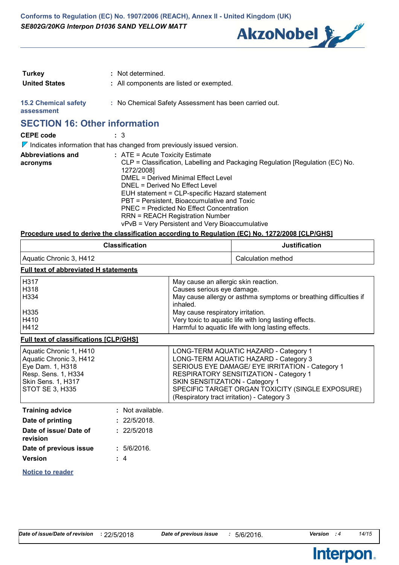

| Turkey                                    | : Not determined.                                     |
|-------------------------------------------|-------------------------------------------------------|
| <b>United States</b>                      | : All components are listed or exempted.              |
| <b>15.2 Chemical safety</b><br>assessment | : No Chemical Safety Assessment has been carried out. |

# **SECTION 16: Other information**

| <b>CEPE code</b>                     | : 3                                                                                                                                                                                                                                                                                                                                                                                                                                                |
|--------------------------------------|----------------------------------------------------------------------------------------------------------------------------------------------------------------------------------------------------------------------------------------------------------------------------------------------------------------------------------------------------------------------------------------------------------------------------------------------------|
|                                      | $\nabla$ Indicates information that has changed from previously issued version.                                                                                                                                                                                                                                                                                                                                                                    |
| <b>Abbreviations and</b><br>acronyms | $:$ ATE = Acute Toxicity Estimate<br>CLP = Classification, Labelling and Packaging Regulation [Regulation (EC) No.<br>1272/2008]<br>DMEL = Derived Minimal Effect Level<br>DNEL = Derived No Effect Level<br>EUH statement = CLP-specific Hazard statement<br>PBT = Persistent, Bioaccumulative and Toxic<br>PNEC = Predicted No Effect Concentration<br><b>RRN = REACH Registration Number</b><br>vPvB = Very Persistent and Very Bioaccumulative |

### **Procedure used to derive the classification according to Regulation (EC) No. 1272/2008 [CLP/GHS]**

|                                                                                                                                        | <b>Classification</b>       |                                                                                                                                                     | <b>Justification</b>                                                                                                                                                                                                                                                           |  |
|----------------------------------------------------------------------------------------------------------------------------------------|-----------------------------|-----------------------------------------------------------------------------------------------------------------------------------------------------|--------------------------------------------------------------------------------------------------------------------------------------------------------------------------------------------------------------------------------------------------------------------------------|--|
| Aquatic Chronic 3, H412                                                                                                                |                             |                                                                                                                                                     | Calculation method                                                                                                                                                                                                                                                             |  |
| <b>Full text of abbreviated H statements</b>                                                                                           |                             |                                                                                                                                                     |                                                                                                                                                                                                                                                                                |  |
| H317<br>H318<br>H334                                                                                                                   |                             | May cause an allergic skin reaction.<br>Causes serious eye damage.<br>May cause allergy or asthma symptoms or breathing difficulties if<br>inhaled. |                                                                                                                                                                                                                                                                                |  |
| H335<br>H410<br>H412                                                                                                                   |                             | May cause respiratory irritation.<br>Very toxic to aquatic life with long lasting effects.<br>Harmful to aquatic life with long lasting effects.    |                                                                                                                                                                                                                                                                                |  |
| <b>Full text of classifications [CLP/GHS]</b>                                                                                          |                             |                                                                                                                                                     |                                                                                                                                                                                                                                                                                |  |
| Aquatic Chronic 1, H410<br>Aquatic Chronic 3, H412<br>Eye Dam. 1, H318<br>Resp. Sens. 1, H334<br>Skin Sens. 1, H317<br>STOT SE 3, H335 |                             | SKIN SENSITIZATION - Category 1                                                                                                                     | LONG-TERM AQUATIC HAZARD - Category 1<br>LONG-TERM AQUATIC HAZARD - Category 3<br>SERIOUS EYE DAMAGE/ EYE IRRITATION - Category 1<br>RESPIRATORY SENSITIZATION - Category 1<br>SPECIFIC TARGET ORGAN TOXICITY (SINGLE EXPOSURE)<br>(Respiratory tract irritation) - Category 3 |  |
| <b>Training advice</b>                                                                                                                 | : Not available.            |                                                                                                                                                     |                                                                                                                                                                                                                                                                                |  |
| Date of printing<br>Date of issue/ Date of<br>revision                                                                                 | : 22/5/2018.<br>: 22/5/2018 |                                                                                                                                                     |                                                                                                                                                                                                                                                                                |  |
| Date of previous issue<br><b>Version</b>                                                                                               | : 5/6/2016.<br>: 4          |                                                                                                                                                     |                                                                                                                                                                                                                                                                                |  |
| <b>Notice to reader</b>                                                                                                                |                             |                                                                                                                                                     |                                                                                                                                                                                                                                                                                |  |